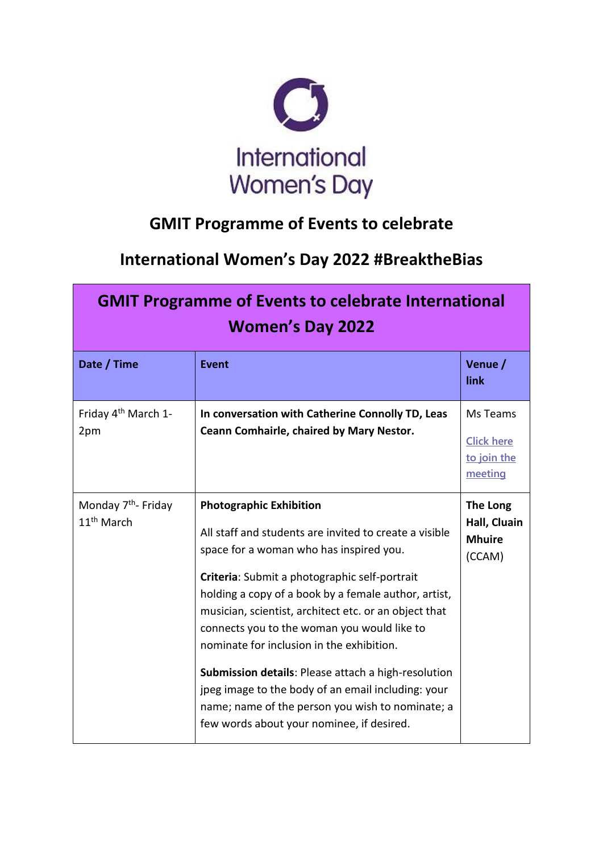

## **GMIT Programme of Events to celebrate**

## **International Women's Day 2022 #BreaktheBias**

| <b>GMIT Programme of Events to celebrate International</b><br><b>Women's Day 2022</b> |                                                                                                                                                                                                                                                                                                                                                                                                                                                                                                                                                                                                                        |                                                         |  |  |
|---------------------------------------------------------------------------------------|------------------------------------------------------------------------------------------------------------------------------------------------------------------------------------------------------------------------------------------------------------------------------------------------------------------------------------------------------------------------------------------------------------------------------------------------------------------------------------------------------------------------------------------------------------------------------------------------------------------------|---------------------------------------------------------|--|--|
| Date / Time                                                                           | <b>Event</b>                                                                                                                                                                                                                                                                                                                                                                                                                                                                                                                                                                                                           | Venue /<br>link                                         |  |  |
| Friday 4 <sup>th</sup> March 1-<br>2pm                                                | In conversation with Catherine Connolly TD, Leas<br>Ceann Comhairle, chaired by Mary Nestor.                                                                                                                                                                                                                                                                                                                                                                                                                                                                                                                           | Ms Teams<br><b>Click here</b><br>to join the<br>meeting |  |  |
| Monday 7 <sup>th</sup> - Friday<br>11 <sup>th</sup> March                             | <b>Photographic Exhibition</b><br>All staff and students are invited to create a visible<br>space for a woman who has inspired you.<br>Criteria: Submit a photographic self-portrait<br>holding a copy of a book by a female author, artist,<br>musician, scientist, architect etc. or an object that<br>connects you to the woman you would like to<br>nominate for inclusion in the exhibition.<br><b>Submission details: Please attach a high-resolution</b><br>jpeg image to the body of an email including: your<br>name; name of the person you wish to nominate; a<br>few words about your nominee, if desired. | The Long<br>Hall, Cluain<br><b>Mhuire</b><br>(CCAM)     |  |  |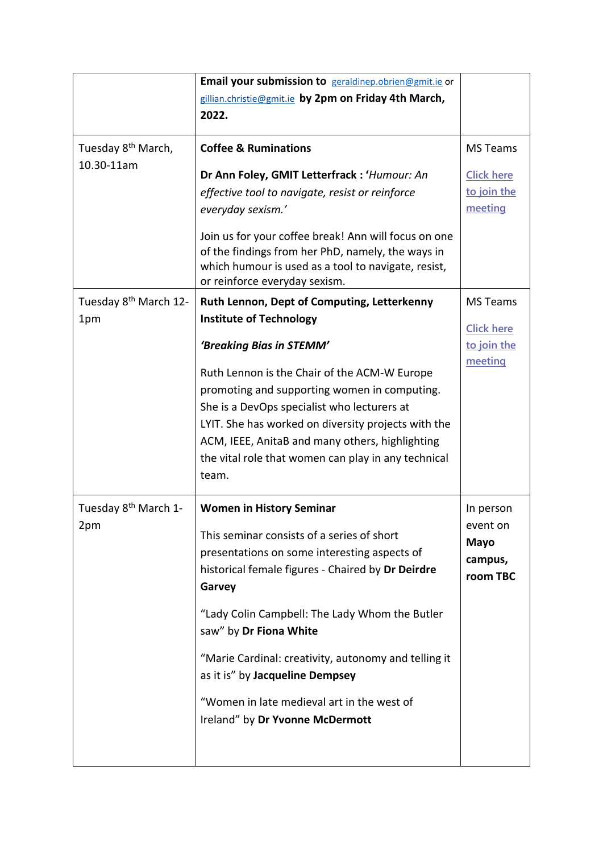|                                         | Email your submission to geraldinep.obrien@gmit.ie or                                                                                                                                                                                                                                                                            |                                                             |
|-----------------------------------------|----------------------------------------------------------------------------------------------------------------------------------------------------------------------------------------------------------------------------------------------------------------------------------------------------------------------------------|-------------------------------------------------------------|
|                                         | gillian.christie@gmit.ie by 2pm on Friday 4th March,                                                                                                                                                                                                                                                                             |                                                             |
|                                         | 2022.                                                                                                                                                                                                                                                                                                                            |                                                             |
|                                         |                                                                                                                                                                                                                                                                                                                                  |                                                             |
| Tuesday 8 <sup>th</sup> March,          | <b>Coffee &amp; Ruminations</b>                                                                                                                                                                                                                                                                                                  | <b>MS Teams</b>                                             |
| 10.30-11am                              | Dr Ann Foley, GMIT Letterfrack : 'Humour: An<br>effective tool to navigate, resist or reinforce<br>everyday sexism.'<br>Join us for your coffee break! Ann will focus on one                                                                                                                                                     | <b>Click here</b><br>to join the<br>meeting                 |
|                                         | of the findings from her PhD, namely, the ways in<br>which humour is used as a tool to navigate, resist,<br>or reinforce everyday sexism.                                                                                                                                                                                        |                                                             |
| Tuesday 8 <sup>th</sup> March 12-       | Ruth Lennon, Dept of Computing, Letterkenny                                                                                                                                                                                                                                                                                      | <b>MS Teams</b>                                             |
| 1pm                                     | <b>Institute of Technology</b>                                                                                                                                                                                                                                                                                                   | <b>Click here</b>                                           |
| Tuesday 8 <sup>th</sup> March 1-<br>2pm | 'Breaking Bias in STEMM'                                                                                                                                                                                                                                                                                                         | to join the<br>meeting                                      |
|                                         | Ruth Lennon is the Chair of the ACM-W Europe<br>promoting and supporting women in computing.<br>She is a DevOps specialist who lecturers at<br>LYIT. She has worked on diversity projects with the<br>ACM, IEEE, AnitaB and many others, highlighting<br>the vital role that women can play in any technical<br>team.            |                                                             |
|                                         | <b>Women in History Seminar</b><br>This seminar consists of a series of short<br>presentations on some interesting aspects of<br>historical female figures - Chaired by Dr Deirdre<br>Garvey<br>"Lady Colin Campbell: The Lady Whom the Butler<br>saw" by Dr Fiona White<br>"Marie Cardinal: creativity, autonomy and telling it | In person<br>event on<br><b>Mayo</b><br>campus,<br>room TBC |
|                                         | as it is" by Jacqueline Dempsey<br>"Women in late medieval art in the west of<br>Ireland" by Dr Yvonne McDermott                                                                                                                                                                                                                 |                                                             |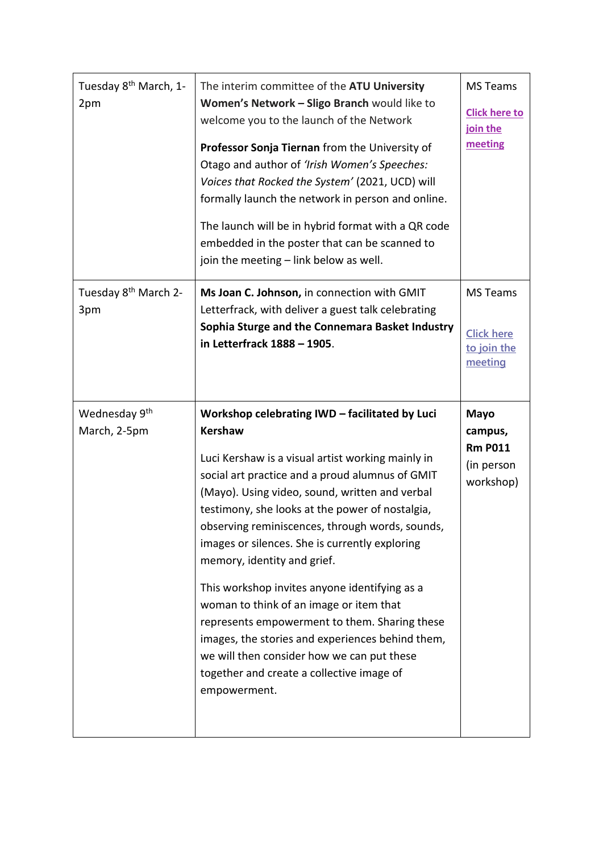| Tuesday 8 <sup>th</sup> March, 1-<br>2pm  | The interim committee of the ATU University<br>Women's Network - Sligo Branch would like to<br>welcome you to the launch of the Network<br>Professor Sonja Tiernan from the University of<br>Otago and author of 'Irish Women's Speeches:<br>Voices that Rocked the System' (2021, UCD) will<br>formally launch the network in person and online.<br>The launch will be in hybrid format with a QR code<br>embedded in the poster that can be scanned to<br>join the meeting - link below as well.                                                                                                                                                                                                                            | <b>MS Teams</b><br><b>Click here to</b><br>join the<br>meeting      |
|-------------------------------------------|-------------------------------------------------------------------------------------------------------------------------------------------------------------------------------------------------------------------------------------------------------------------------------------------------------------------------------------------------------------------------------------------------------------------------------------------------------------------------------------------------------------------------------------------------------------------------------------------------------------------------------------------------------------------------------------------------------------------------------|---------------------------------------------------------------------|
| Tuesday 8 <sup>th</sup> March 2-<br>3pm   | Ms Joan C. Johnson, in connection with GMIT<br>Letterfrack, with deliver a guest talk celebrating<br>Sophia Sturge and the Connemara Basket Industry<br>in Letterfrack 1888 - 1905.                                                                                                                                                                                                                                                                                                                                                                                                                                                                                                                                           | <b>MS Teams</b><br><b>Click here</b><br>to join the<br>meeting      |
| Wednesday 9 <sup>th</sup><br>March, 2-5pm | Workshop celebrating IWD - facilitated by Luci<br><b>Kershaw</b><br>Luci Kershaw is a visual artist working mainly in<br>social art practice and a proud alumnus of GMIT<br>(Mayo). Using video, sound, written and verbal<br>testimony, she looks at the power of nostalgia,<br>observing reminiscences, through words, sounds,<br>images or silences. She is currently exploring<br>memory, identity and grief.<br>This workshop invites anyone identifying as a<br>woman to think of an image or item that<br>represents empowerment to them. Sharing these<br>images, the stories and experiences behind them,<br>we will then consider how we can put these<br>together and create a collective image of<br>empowerment. | <b>Mayo</b><br>campus,<br><b>Rm P011</b><br>(in person<br>workshop) |